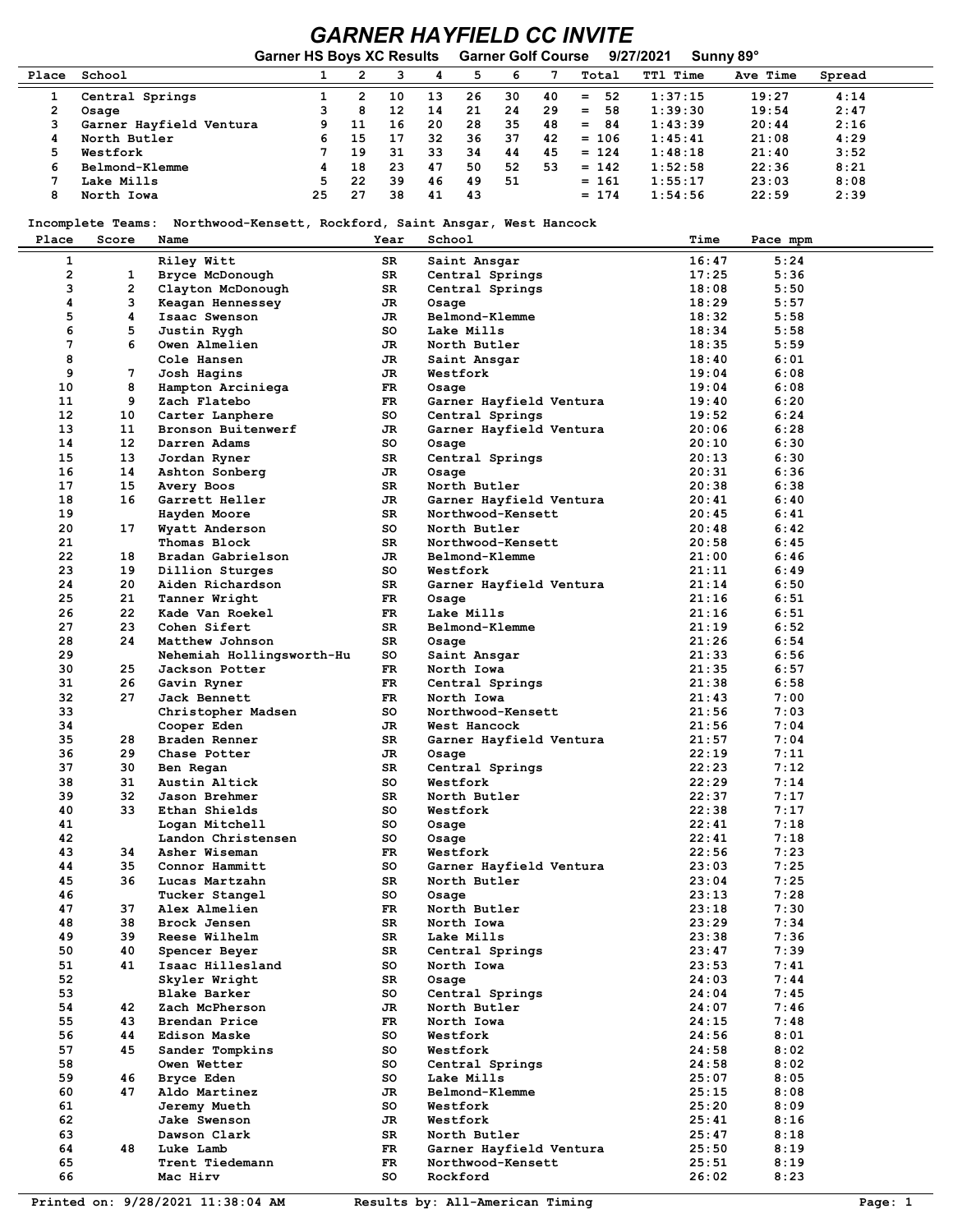## *GARNER HAYFIELD CC INVITE*

|       |                         | <b>Garner HS Boys XC Results</b> |    |    |    | <b>Garner Golf Course</b> |    |    |           | 9/27/2021       | Sunny 89° |        |  |
|-------|-------------------------|----------------------------------|----|----|----|---------------------------|----|----|-----------|-----------------|-----------|--------|--|
| Place | School                  |                                  |    |    | 4  |                           | 6  |    | Total     | <b>TTl Time</b> | Ave Time  | Spread |  |
|       | Central Springs         |                                  | 2  | 10 | 13 | 26                        | 30 | 40 | 52<br>$=$ | 1:37:15         | 19:27     | 4:14   |  |
|       | Osage                   |                                  | 8  | 12 | 14 | 21                        | 24 | 29 | 58<br>$=$ | 1:39:30         | 19:54     | 2:47   |  |
|       | Garner Hayfield Ventura | 9.                               | 11 | 16 | 20 | 28                        | 35 | 48 | 84<br>$=$ | 1:43:39         | 20:44     | 2:16   |  |
|       | North Butler            | 6.                               | 15 | 17 | 32 | 36                        | 37 | 42 | $= 106$   | 1:45:41         | 21:08     | 4:29   |  |
|       | Westfork                |                                  | 19 | 31 | 33 | 34                        | 44 | 45 | $= 124$   | 1:48:18         | 21:40     | 3:52   |  |
| 6     | Belmond-Klemme          | 4                                | 18 | 23 | 47 | 50                        | 52 | 53 | $= 142$   | 1:52:58         | 22:36     | 8:21   |  |
|       | Lake Mills              |                                  | 22 | 39 | 46 | 49                        | 51 |    | $= 161$   | 1:55:17         | 23:03     | 8:08   |  |
| 8     | North Iowa              | 25                               | 27 | 38 | 41 | 43                        |    |    | $= 174$   | 1:54:56         | 22:59     | 2:39   |  |

## **Incomplete Teams: Northwood-Kensett, Rockford, Saint Ansgar, West Hancock**

| Place                   | Score             | Name                                 | Year     | School                        | Time           | Pace mpm     |
|-------------------------|-------------------|--------------------------------------|----------|-------------------------------|----------------|--------------|
| $\mathbf{1}$            |                   | Riley Witt                           | SR       | Saint Ansgar                  | 16:47          | 5:24         |
| $\overline{\mathbf{c}}$ | 1                 | Bryce McDonough                      | SR       | Central Springs               | 17:25          | 5:36         |
| 3                       | $\overline{2}$    | Clayton McDonough                    | SR       | Central Springs               | 18:08          | 5:50         |
| 4                       | 3                 | Keagan Hennessey                     | JR       | Osage                         | 18:29          | 5:57         |
| 5                       | 4                 | Isaac Swenson                        | JR       | Belmond-Klemme                | 18:32          | 5:58         |
| 6                       | 5                 | Justin Rygh                          | so       | Lake Mills                    | 18:34          | 5:58         |
| 7                       | 6                 | Owen Almelien                        | JR       | North Butler                  | 18:35          | 5:59         |
| 8                       |                   | Cole Hansen                          | JR       | Saint Ansgar                  | 18:40          | 6:01         |
| 9                       | 7                 | Josh Hagins                          | JR       | Westfork                      | 19:04          | 6:08         |
| 10                      | 8                 | Hampton Arciniega                    | FR       | Osage                         | 19:04          | 6:08         |
| 11                      | 9                 | Zach Flatebo                         | FR       | Garner Hayfield Ventura       | 19:40          | 6:20         |
| $12 \,$                 | 10                | Carter Lanphere                      | so       | Central Springs               | 19:52          | 6:24         |
| 13                      | 11                | Bronson Buitenwerf                   | JR       | Garner Hayfield Ventura       | 20:06          | 6:28         |
| 14                      | $12 \overline{ }$ | Darren Adams                         | so       | Osage                         | 20:10          | 6:30         |
| 15                      | 13                | Jordan Ryner                         | SR       | Central Springs               | 20:13          | 6:30         |
| 16                      | 14                | Ashton Sonberg                       | JR       | Osage                         | 20:31          | 6:36         |
| 17                      | 15                | Avery Boos                           | SR       | North Butler                  | 20:38          | 6:38         |
| 18                      | 16                | Garrett Heller                       | JR       | Garner Hayfield Ventura       | 20:41          | 6:40         |
| 19                      |                   | Hayden Moore                         | SR       | Northwood-Kensett             | 20:45          | 6:41         |
| 20                      | 17                | Wyatt Anderson                       | so       | North Butler                  | 20:48          | 6:42         |
| 21                      |                   | Thomas Block                         | SR       | Northwood-Kensett             | 20:58          | 6:45         |
| 22                      | 18                | Bradan Gabrielson                    | JR       | Belmond-Klemme                | 21:00          | 6:46         |
| 23                      | 19                | Dillion Sturges                      | so       | Westfork                      | 21:11          | 6:49         |
| 24                      | 20                | Aiden Richardson                     | SR       | Garner Hayfield Ventura       | 21:14          | 6:50         |
| 25                      | 21                | Tanner Wright                        | FR       | Osage                         | 21:16          | 6:51         |
| 26                      | 22                | Kade Van Roekel                      | FR       | Lake Mills                    | 21:16          | 6:51         |
| 27                      | 23                | Cohen Sifert                         | SR       | Belmond-Klemme                | 21:19          | 6:52         |
| 28                      | 24                | Matthew Johnson                      | SR       | Osage                         | 21:26          | 6:54         |
| 29                      |                   | Nehemiah Hollingsworth-Hu            | so       | Saint Ansgar                  | 21:33          | 6:56         |
| 30                      | 25                | Jackson Potter                       | FR       | North Iowa                    | 21:35          | 6:57         |
| 31                      | 26                | Gavin Ryner                          | FR       | Central Springs               | 21:38          | 6:58         |
| 32                      | 27                | Jack Bennett                         | FR       | North Iowa                    | 21:43          | 7:00         |
| 33                      |                   | Christopher Madsen                   | so       | Northwood-Kensett             | 21:56          | 7:03         |
| 34                      |                   | Cooper Eden                          | JR       | West Hancock                  | 21:56          | 7:04         |
| 35                      | 28                | Braden Renner                        | SR       | Garner Hayfield Ventura       | 21:57          | 7:04         |
| 36                      | 29                | Chase Potter                         | JR       | Osage                         | 22:19          | 7:11         |
| 37                      | 30                | Ben Regan                            | SR       | Central Springs               | 22:23          | 7:12         |
| 38                      | 31                | Austin Altick                        | so       | Westfork                      | 22:29          | 7:14         |
| 39                      | 32                | Jason Brehmer                        | SR       | North Butler                  | 22:37          | 7:17         |
| 40                      | 33                | Ethan Shields                        | so       | Westfork                      | 22:38          | 7:17         |
| 41                      |                   |                                      | so       |                               | 22:41          | 7:18         |
| 42                      |                   | Logan Mitchell<br>Landon Christensen | so       | Osage                         | 22:41          | 7:18         |
| 43                      | 34                | Asher Wiseman                        | FR       | Osage<br>Westfork             | 22:56          | 7:23         |
| 44                      | 35                | Connor Hammitt                       | so       |                               | 23:03          | 7:25         |
| 45                      | 36                |                                      | SR       | Garner Hayfield Ventura       |                | 7:25         |
|                         |                   | Lucas Martzahn                       |          | North Butler                  | 23:04          |              |
| 46<br>47                | 37                | Tucker Stangel<br>Alex Almelien      | so<br>FR | Osage<br>North Butler         | 23:13<br>23:18 | 7:28<br>7:30 |
| 48                      | 38                | Brock Jensen                         | SR       | North Iowa                    | 23:29          | 7:34         |
|                         |                   |                                      |          |                               |                | 7:36         |
| 49<br>50                | 39<br>40          | Reese Wilhelm<br>Spencer Beyer       | SR<br>SR | Lake Mills<br>Central Springs | 23:38<br>23:47 | 7:39         |
| 51                      | 41                | Isaac Hillesland                     | so       |                               | 23:53          | 7:41         |
|                         |                   |                                      |          | North Iowa                    |                |              |
| 52                      |                   | Skyler Wright                        | SR       | Osage<br>Central Springs      | 24:03          | 7:44         |
| 53                      |                   | <b>Blake Barker</b>                  | so       |                               | 24:04          | 7:45         |
| 54                      | 42                | Zach McPherson                       | JR       | North Butler                  | 24:07          | 7:46         |
| 55                      | 43                | Brendan Price                        | FR       | North Iowa                    | 24:15          | 7:48         |
| 56                      | 44                | Edison Maske                         | so       | Westfork                      | 24:56          | 8:01         |
| 57                      | 45                | Sander Tompkins                      | so       | Westfork                      | 24:58          | 8:02         |
| 58                      |                   | Owen Wetter                          | so       | Central Springs               | 24:58          | 8:02         |
| 59                      | 46                | Bryce Eden                           | so       | Lake Mills                    | 25:07          | 8:05         |
| 60                      | 47                | Aldo Martinez                        | JR       | Belmond-Klemme                | 25:15          | 8:08         |
| 61                      |                   | <b>Jeremy Mueth</b>                  | so       | Westfork                      | 25:20          | 8:09         |
| 62                      |                   | Jake Swenson                         | JR       | Westfork                      | 25:41          | 8:16         |
| 63                      |                   | Dawson Clark                         | SR       | North Butler                  | 25:47          | 8:18         |
| 64                      | 48                | Luke Lamb                            | FR       | Garner Hayfield Ventura       | 25:50          | 8:19         |
| 65                      |                   | Trent Tiedemann                      | FR       | Northwood-Kensett             | 25:51          | 8:19         |
| 66                      |                   | Mac Hirv                             | so       | Rockford                      | 26:02          | 8:23         |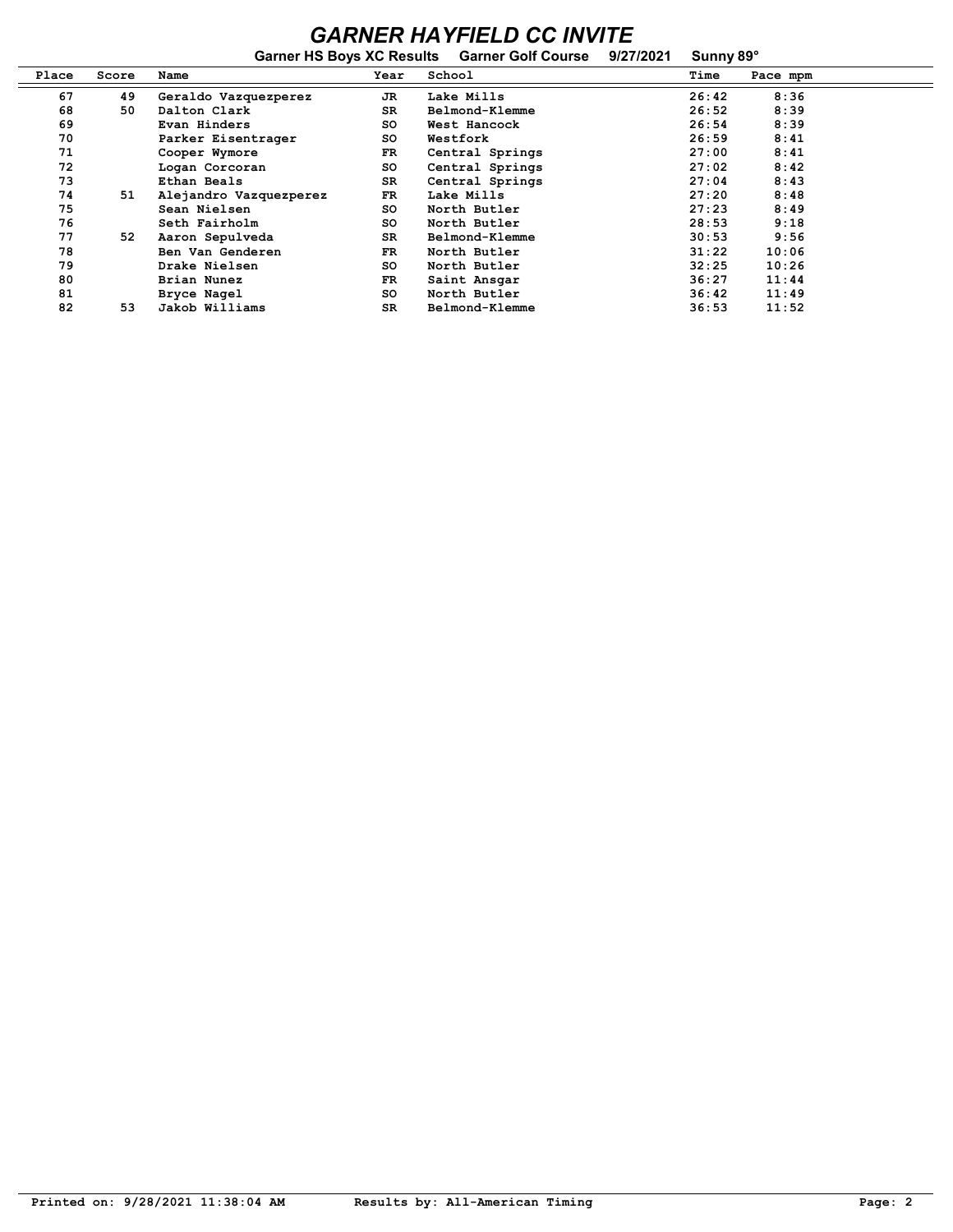## *GARNER HAYFIELD CC INVITE*

|       |       | <b>Garner HS Boys XC Results</b> |           | <b>Garner Golf Course</b> | 9/27/2021 | Sunny 89° |          |  |
|-------|-------|----------------------------------|-----------|---------------------------|-----------|-----------|----------|--|
| Place | Score | Name                             | Year      | School                    |           | Time      | Pace mpm |  |
| 67    | 49    | Geraldo Vazquezperez             | JR        | Lake Mills                |           | 26:42     | 8:36     |  |
| 68    | 50    | Dalton Clark                     | SR        | Belmond-Klemme            |           | 26:52     | 8:39     |  |
| 69    |       | Evan Hinders                     | so        | West Hancock              |           | 26:54     | 8:39     |  |
| 70    |       | Parker Eisentrager               | so        | Westfork                  |           | 26:59     | 8:41     |  |
| 71    |       | Cooper Wymore                    | FR        | Central Springs           |           | 27:00     | 8:41     |  |
| 72    |       | Logan Corcoran                   | so        | Central Springs           |           | 27:02     | 8:42     |  |
| 73    |       | Ethan Beals                      | SR.       | Central Springs           |           | 27:04     | 8:43     |  |
| 74    | 51    | Alejandro Vazquezperez           | FR        | Lake Mills                |           | 27:20     | 8:48     |  |
| 75    |       | Sean Nielsen                     | so        | North Butler              |           | 27:23     | 8:49     |  |
| 76    |       | Seth Fairholm                    | so        | North Butler              |           | 28:53     | 9:18     |  |
| 77    | 52    | Aaron Sepulveda                  | SR.       | Belmond-Klemme            |           | 30:53     | 9:56     |  |
| 78    |       | Ben Van Genderen                 | FR        | North Butler              |           | 31:22     | 10:06    |  |
| 79    |       | Drake Nielsen                    | so        | North Butler              |           | 32:25     | 10:26    |  |
| 80    |       | Brian Nunez                      | FR        | Saint Ansgar              |           | 36:27     | 11:44    |  |
| 81    |       | Bryce Nagel                      | <b>SO</b> | North Butler              |           | 36:42     | 11:49    |  |
| 82    | 53    | Jakob Williams                   | <b>SR</b> | Belmond-Klemme            |           | 36:53     | 11:52    |  |